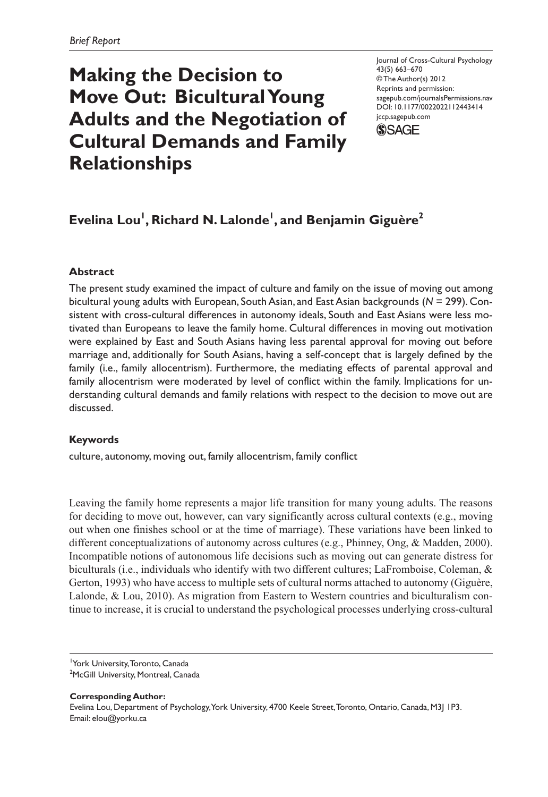# **Making the Decision to Move Out: Bicultural Young Adults and the Negotiation of Cultural Demands and Family Relationships**

Journal of Cross-Cultural Psychology 43(5) 663 –670 © The Author(s) 2012 Reprints and permission: sagepub.com/journalsPermissions.nav DOI: 10.1177/0022022112443414 jccp.sagepub.com **SSAGE** 

**Evelina Lou<sup>1</sup> , Richard N. Lalonde<sup>1</sup> , and Benjamin Giguère<sup>2</sup>**

### **Abstract**

The present study examined the impact of culture and family on the issue of moving out among bicultural young adults with European, South Asian, and East Asian backgrounds (*N* = 299). Consistent with cross-cultural differences in autonomy ideals, South and East Asians were less motivated than Europeans to leave the family home. Cultural differences in moving out motivation were explained by East and South Asians having less parental approval for moving out before marriage and, additionally for South Asians, having a self-concept that is largely defined by the family (i.e., family allocentrism). Furthermore, the mediating effects of parental approval and family allocentrism were moderated by level of conflict within the family. Implications for understanding cultural demands and family relations with respect to the decision to move out are discussed.

#### **Keywords**

culture, autonomy, moving out, family allocentrism, family conflict

Leaving the family home represents a major life transition for many young adults. The reasons for deciding to move out, however, can vary significantly across cultural contexts (e.g., moving out when one finishes school or at the time of marriage). These variations have been linked to different conceptualizations of autonomy across cultures (e.g., Phinney, Ong, & Madden, 2000). Incompatible notions of autonomous life decisions such as moving out can generate distress for biculturals (i.e., individuals who identify with two different cultures; LaFromboise, Coleman, & Gerton, 1993) who have access to multiple sets of cultural norms attached to autonomy (Giguère, Lalonde, & Lou, 2010). As migration from Eastern to Western countries and biculturalism continue to increase, it is crucial to understand the psychological processes underlying cross-cultural

**Corresponding Author:** Evelina Lou, Department of Psychology, York University, 4700 Keele Street, Toronto, Ontario, Canada, M3J 1P3. Email: elou@yorku.ca

<sup>&</sup>lt;sup>1</sup>York University, Toronto, Canada <sup>2</sup>McGill University, Montreal, Canada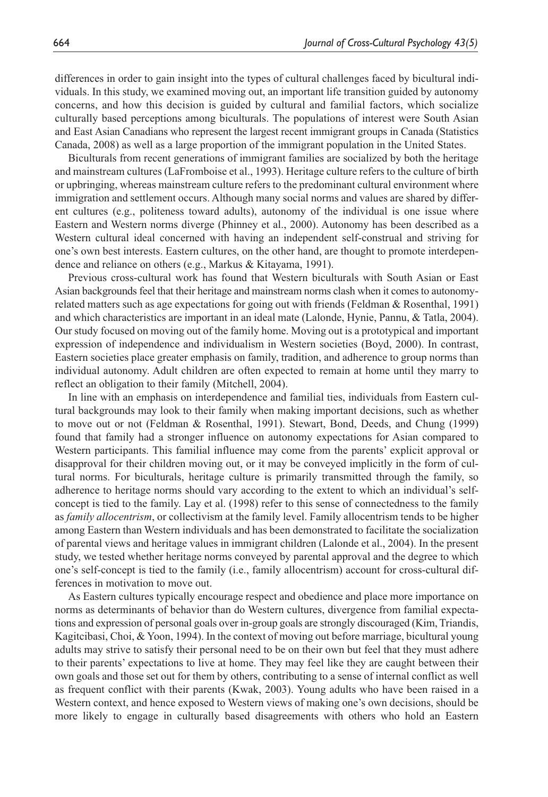differences in order to gain insight into the types of cultural challenges faced by bicultural individuals. In this study, we examined moving out, an important life transition guided by autonomy concerns, and how this decision is guided by cultural and familial factors, which socialize culturally based perceptions among biculturals. The populations of interest were South Asian and East Asian Canadians who represent the largest recent immigrant groups in Canada (Statistics Canada, 2008) as well as a large proportion of the immigrant population in the United States.

Biculturals from recent generations of immigrant families are socialized by both the heritage and mainstream cultures (LaFromboise et al., 1993). Heritage culture refers to the culture of birth or upbringing, whereas mainstream culture refers to the predominant cultural environment where immigration and settlement occurs. Although many social norms and values are shared by different cultures (e.g., politeness toward adults), autonomy of the individual is one issue where Eastern and Western norms diverge (Phinney et al., 2000). Autonomy has been described as a Western cultural ideal concerned with having an independent self-construal and striving for one's own best interests. Eastern cultures, on the other hand, are thought to promote interdependence and reliance on others (e.g., Markus & Kitayama, 1991).

Previous cross-cultural work has found that Western biculturals with South Asian or East Asian backgrounds feel that their heritage and mainstream norms clash when it comes to autonomyrelated matters such as age expectations for going out with friends (Feldman & Rosenthal, 1991) and which characteristics are important in an ideal mate (Lalonde, Hynie, Pannu, & Tatla, 2004). Our study focused on moving out of the family home. Moving out is a prototypical and important expression of independence and individualism in Western societies (Boyd, 2000). In contrast, Eastern societies place greater emphasis on family, tradition, and adherence to group norms than individual autonomy. Adult children are often expected to remain at home until they marry to reflect an obligation to their family (Mitchell, 2004).

In line with an emphasis on interdependence and familial ties, individuals from Eastern cultural backgrounds may look to their family when making important decisions, such as whether to move out or not (Feldman & Rosenthal, 1991). Stewart, Bond, Deeds, and Chung (1999) found that family had a stronger influence on autonomy expectations for Asian compared to Western participants. This familial influence may come from the parents' explicit approval or disapproval for their children moving out, or it may be conveyed implicitly in the form of cultural norms. For biculturals, heritage culture is primarily transmitted through the family, so adherence to heritage norms should vary according to the extent to which an individual's selfconcept is tied to the family. Lay et al. (1998) refer to this sense of connectedness to the family as *family allocentrism*, or collectivism at the family level. Family allocentrism tends to be higher among Eastern than Western individuals and has been demonstrated to facilitate the socialization of parental views and heritage values in immigrant children (Lalonde et al., 2004). In the present study, we tested whether heritage norms conveyed by parental approval and the degree to which one's self-concept is tied to the family (i.e., family allocentrism) account for cross-cultural differences in motivation to move out.

As Eastern cultures typically encourage respect and obedience and place more importance on norms as determinants of behavior than do Western cultures, divergence from familial expectations and expression of personal goals over in-group goals are strongly discouraged (Kim, Triandis, Kagitcibasi, Choi, & Yoon, 1994). In the context of moving out before marriage, bicultural young adults may strive to satisfy their personal need to be on their own but feel that they must adhere to their parents' expectations to live at home. They may feel like they are caught between their own goals and those set out for them by others, contributing to a sense of internal conflict as well as frequent conflict with their parents (Kwak, 2003). Young adults who have been raised in a Western context, and hence exposed to Western views of making one's own decisions, should be more likely to engage in culturally based disagreements with others who hold an Eastern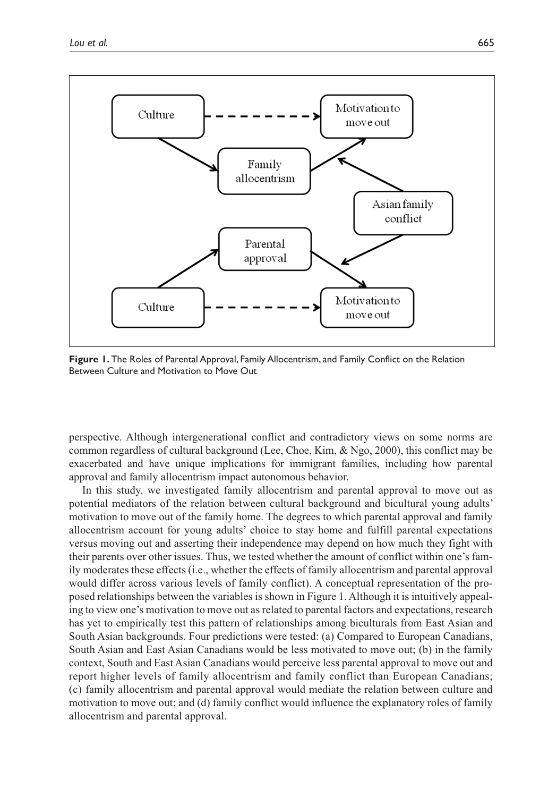

**Figure 1.** The Roles of Parental Approval, Family Allocentrism, and Family Conflict on the Relation Between Culture and Motivation to Move Out

perspective. Although intergenerational conflict and contradictory views on some norms are common regardless of cultural background (Lee, Choe, Kim, & Ngo, 2000), this conflict may be exacerbated and have unique implications for immigrant families, including how parental approval and family allocentrism impact autonomous behavior.

In this study, we investigated family allocentrism and parental approval to move out as potential mediators of the relation between cultural background and bicultural young adults' motivation to move out of the family home. The degrees to which parental approval and family allocentrism account for young adults' choice to stay home and fulfill parental expectations versus moving out and asserting their independence may depend on how much they fight with their parents over other issues. Thus, we tested whether the amount of conflict within one's family moderates these effects (i.e., whether the effects of family allocentrism and parental approval would differ across various levels of family conflict). A conceptual representation of the proposed relationships between the variables is shown in Figure 1. Although it is intuitively appealing to view one's motivation to move out as related to parental factors and expectations, research has yet to empirically test this pattern of relationships among biculturals from East Asian and South Asian backgrounds. Four predictions were tested: (a) Compared to European Canadians, South Asian and East Asian Canadians would be less motivated to move out; (b) in the family context, South and East Asian Canadians would perceive less parental approval to move out and report higher levels of family allocentrism and family conflict than European Canadians; (c) family allocentrism and parental approval would mediate the relation between culture and motivation to move out; and (d) family conflict would influence the explanatory roles of family allocentrism and parental approval.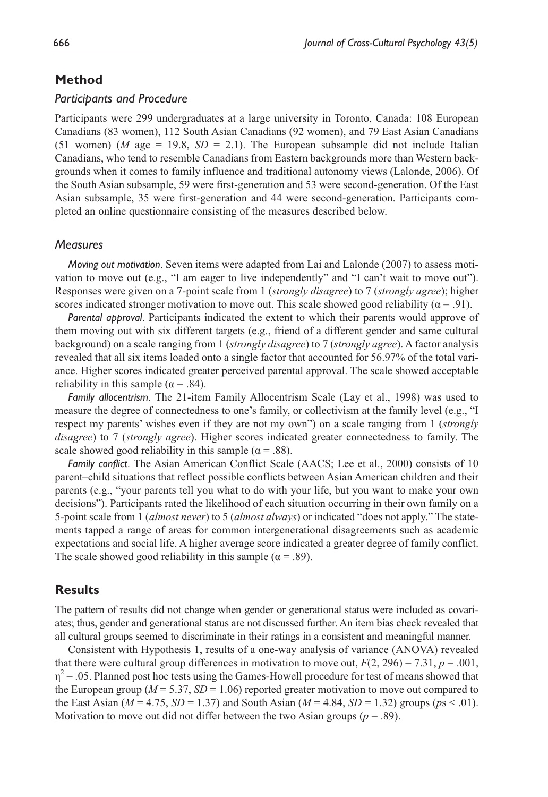# **Method**

#### *Participants and Procedure*

Participants were 299 undergraduates at a large university in Toronto, Canada: 108 European Canadians (83 women), 112 South Asian Canadians (92 women), and 79 East Asian Canadians (51 women) (*M* age = 19.8,  $SD = 2.1$ ). The European subsample did not include Italian Canadians, who tend to resemble Canadians from Eastern backgrounds more than Western backgrounds when it comes to family influence and traditional autonomy views (Lalonde, 2006). Of the South Asian subsample, 59 were first-generation and 53 were second-generation. Of the East Asian subsample, 35 were first-generation and 44 were second-generation. Participants completed an online questionnaire consisting of the measures described below.

#### *Measures*

*Moving out motivation*. Seven items were adapted from Lai and Lalonde (2007) to assess motivation to move out (e.g., "I am eager to live independently" and "I can't wait to move out"). Responses were given on a 7-point scale from 1 (*strongly disagree*) to 7 (*strongly agree*); higher scores indicated stronger motivation to move out. This scale showed good reliability ( $\alpha$  = .91).

*Parental approval*. Participants indicated the extent to which their parents would approve of them moving out with six different targets (e.g., friend of a different gender and same cultural background) on a scale ranging from 1 (*strongly disagree*) to 7 (*strongly agree*). A factor analysis revealed that all six items loaded onto a single factor that accounted for 56.97% of the total variance. Higher scores indicated greater perceived parental approval. The scale showed acceptable reliability in this sample ( $\alpha$  = .84).

*Family allocentrism*. The 21-item Family Allocentrism Scale (Lay et al., 1998) was used to measure the degree of connectedness to one's family, or collectivism at the family level (e.g., "I respect my parents' wishes even if they are not my own") on a scale ranging from 1 (*strongly disagree*) to 7 (*strongly agree*). Higher scores indicated greater connectedness to family. The scale showed good reliability in this sample ( $\alpha$  = .88).

*Family conflict*. The Asian American Conflict Scale (AACS; Lee et al., 2000) consists of 10 parent–child situations that reflect possible conflicts between Asian American children and their parents (e.g., "your parents tell you what to do with your life, but you want to make your own decisions"). Participants rated the likelihood of each situation occurring in their own family on a 5-point scale from 1 (*almost never*) to 5 (*almost always*) or indicated "does not apply." The statements tapped a range of areas for common intergenerational disagreements such as academic expectations and social life. A higher average score indicated a greater degree of family conflict. The scale showed good reliability in this sample ( $\alpha$  = .89).

#### **Results**

The pattern of results did not change when gender or generational status were included as covariates; thus, gender and generational status are not discussed further. An item bias check revealed that all cultural groups seemed to discriminate in their ratings in a consistent and meaningful manner.

Consistent with Hypothesis 1, results of a one-way analysis of variance (ANOVA) revealed that there were cultural group differences in motivation to move out,  $F(2, 296) = 7.31$ ,  $p = .001$ ,  $\eta^2$  = .05. Planned post hoc tests using the Games-Howell procedure for test of means showed that the European group ( $M = 5.37$ ,  $SD = 1.06$ ) reported greater motivation to move out compared to the East Asian ( $M = 4.75$ ,  $SD = 1.37$ ) and South Asian ( $M = 4.84$ ,  $SD = 1.32$ ) groups ( $ps < .01$ ). Motivation to move out did not differ between the two Asian groups ( $p = .89$ ).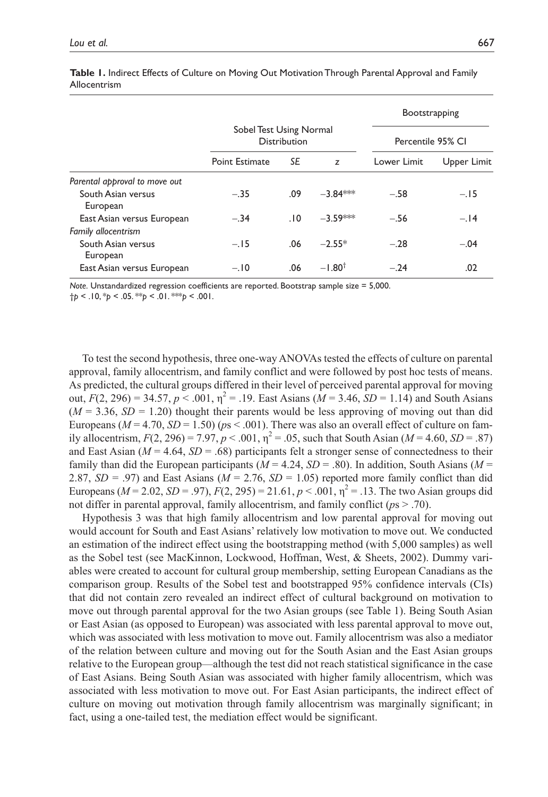|                                                       |                                                |     |                   |                   | <b>Bootstrapping</b> |  |
|-------------------------------------------------------|------------------------------------------------|-----|-------------------|-------------------|----------------------|--|
|                                                       | Sobel Test Using Normal<br><b>Distribution</b> |     |                   | Percentile 95% CI |                      |  |
|                                                       | <b>Point Estimate</b>                          | SE  | z                 | Lower Limit       | Upper Limit          |  |
| Parental approval to move out<br>South Asian versus   | $-.35$                                         | .09 | $-3.84***$        | $-.58$            | $-.15$               |  |
| European<br>East Asian versus European                | $-.34$                                         | .10 | $-3.59***$        | $-.56$            | $-.14$               |  |
| Family allocentrism<br>South Asian versus<br>European | $-.15$                                         | .06 | $-2.55*$          | $-.28$            | $-.04$               |  |
| East Asian versus European                            | $-.10$                                         | .06 | $-1.80^{\dagger}$ | $-.24$            | .02                  |  |

**Table 1.** Indirect Effects of Culture on Moving Out Motivation Through Parental Approval and Family Allocentrism

*Note.* Unstandardized regression coefficients are reported. Bootstrap sample size = 5,000.

†*p* < .10, \**p* < .05. \*\**p* < .01. \*\*\**p* < .001.

To test the second hypothesis, three one-way ANOVAs tested the effects of culture on parental approval, family allocentrism, and family conflict and were followed by post hoc tests of means. As predicted, the cultural groups differed in their level of perceived parental approval for moving out,  $F(2, 296) = 34.57$ ,  $p < .001$ ,  $\eta^2 = .19$ . East Asians ( $M = 3.46$ ,  $SD = 1.14$ ) and South Asians  $(M = 3.36, SD = 1.20)$  thought their parents would be less approving of moving out than did Europeans ( $M = 4.70$ ,  $SD = 1.50$ ) ( $ps < .001$ ). There was also an overall effect of culture on family allocentrism,  $F(2, 296) = 7.97$ ,  $p < .001$ ,  $\eta^2 = .05$ , such that South Asian ( $M = 4.60$ ,  $SD = .87$ ) and East Asian ( $M = 4.64$ ,  $SD = .68$ ) participants felt a stronger sense of connectedness to their family than did the European participants ( $M = 4.24$ ,  $SD = .80$ ). In addition, South Asians ( $M =$ 2.87,  $SD = .97$ ) and East Asians ( $M = 2.76$ ,  $SD = 1.05$ ) reported more family conflict than did Europeans ( $M = 2.02$ ,  $SD = .97$ ),  $F(2, 295) = 21.61$ ,  $p < .001$ ,  $\eta^2 = .13$ . The two Asian groups did not differ in parental approval, family allocentrism, and family conflict (*p*s > .70).

Hypothesis 3 was that high family allocentrism and low parental approval for moving out would account for South and East Asians' relatively low motivation to move out. We conducted an estimation of the indirect effect using the bootstrapping method (with 5,000 samples) as well as the Sobel test (see MacKinnon, Lockwood, Hoffman, West, & Sheets, 2002). Dummy variables were created to account for cultural group membership, setting European Canadians as the comparison group. Results of the Sobel test and bootstrapped 95% confidence intervals (CIs) that did not contain zero revealed an indirect effect of cultural background on motivation to move out through parental approval for the two Asian groups (see Table 1). Being South Asian or East Asian (as opposed to European) was associated with less parental approval to move out, which was associated with less motivation to move out. Family allocentrism was also a mediator of the relation between culture and moving out for the South Asian and the East Asian groups relative to the European group—although the test did not reach statistical significance in the case of East Asians. Being South Asian was associated with higher family allocentrism, which was associated with less motivation to move out. For East Asian participants, the indirect effect of culture on moving out motivation through family allocentrism was marginally significant; in fact, using a one-tailed test, the mediation effect would be significant.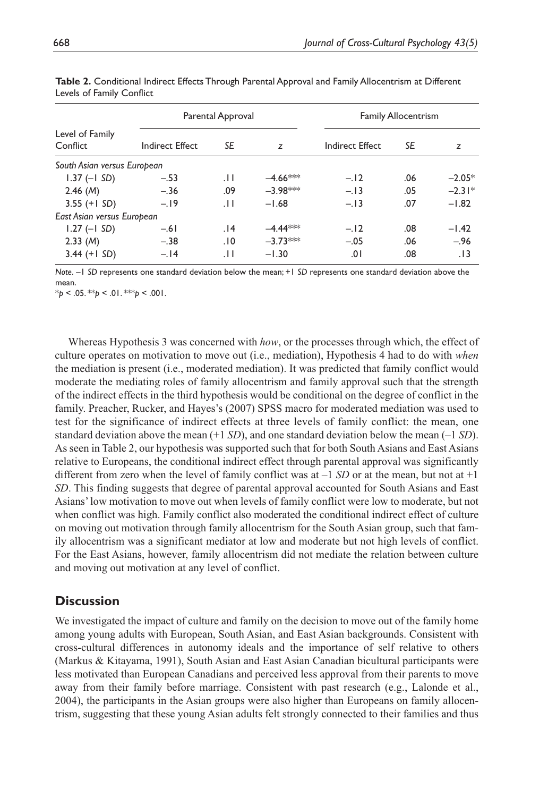|                             | Parental Approval      |       |            | <b>Family Allocentrism</b> |     |          |  |
|-----------------------------|------------------------|-------|------------|----------------------------|-----|----------|--|
| Level of Family<br>Conflict | <b>Indirect Effect</b> | SE    | z          | <b>Indirect Effect</b>     | SE  | z        |  |
| South Asian versus European |                        |       |            |                            |     |          |  |
| $1.37 (-1 SD)$              | $-.53$                 | .11   | $-4.66***$ | $-.12$                     | .06 | $-2.05*$ |  |
| $2.46$ ( <i>M</i> )         | $-.36$                 | .09   | $-3.98***$ | $-.13$                     | .05 | $-2.31*$ |  |
| $3.55 (+1 SD)$              | $-.19$                 | .H    | $-1.68$    | $-.13$                     | .07 | $-1.82$  |  |
| East Asian versus European  |                        |       |            |                            |     |          |  |
| $1.27 (-1 SD)$              | $-.61$                 | .14   | $-4.44***$ | $-.12$                     | .08 | $-1.42$  |  |
| $2.33$ ( <i>M</i> )         | $-.38$                 | .10   | $-3.73***$ | $-.05$                     | .06 | $-.96$   |  |
| $3.44 (+1 SD)$              | $-.14$                 | . I I | $-1.30$    | .01                        | .08 | .13      |  |

**Table 2.** Conditional Indirect Effects Through Parental Approval and Family Allocentrism at Different Levels of Family Conflict

*Note.* –1 *SD* represents one standard deviation below the mean; +1 *SD* represents one standard deviation above the mean.

 $*_{p}$  < .05.  $*_{p}$  < .01.  $*_{p}$  < .001.

Whereas Hypothesis 3 was concerned with *how*, or the processes through which, the effect of culture operates on motivation to move out (i.e., mediation), Hypothesis 4 had to do with *when* the mediation is present (i.e., moderated mediation). It was predicted that family conflict would moderate the mediating roles of family allocentrism and family approval such that the strength of the indirect effects in the third hypothesis would be conditional on the degree of conflict in the family. Preacher, Rucker, and Hayes's (2007) SPSS macro for moderated mediation was used to test for the significance of indirect effects at three levels of family conflict: the mean, one standard deviation above the mean (+1 *SD*), and one standard deviation below the mean (–1 *SD*). As seen in Table 2, our hypothesis was supported such that for both South Asians and East Asians relative to Europeans, the conditional indirect effect through parental approval was significantly different from zero when the level of family conflict was at  $-1$  *SD* or at the mean, but not at  $+1$ *SD*. This finding suggests that degree of parental approval accounted for South Asians and East Asians' low motivation to move out when levels of family conflict were low to moderate, but not when conflict was high. Family conflict also moderated the conditional indirect effect of culture on moving out motivation through family allocentrism for the South Asian group, such that family allocentrism was a significant mediator at low and moderate but not high levels of conflict. For the East Asians, however, family allocentrism did not mediate the relation between culture and moving out motivation at any level of conflict.

# **Discussion**

We investigated the impact of culture and family on the decision to move out of the family home among young adults with European, South Asian, and East Asian backgrounds. Consistent with cross-cultural differences in autonomy ideals and the importance of self relative to others (Markus & Kitayama, 1991), South Asian and East Asian Canadian bicultural participants were less motivated than European Canadians and perceived less approval from their parents to move away from their family before marriage. Consistent with past research (e.g., Lalonde et al., 2004), the participants in the Asian groups were also higher than Europeans on family allocentrism, suggesting that these young Asian adults felt strongly connected to their families and thus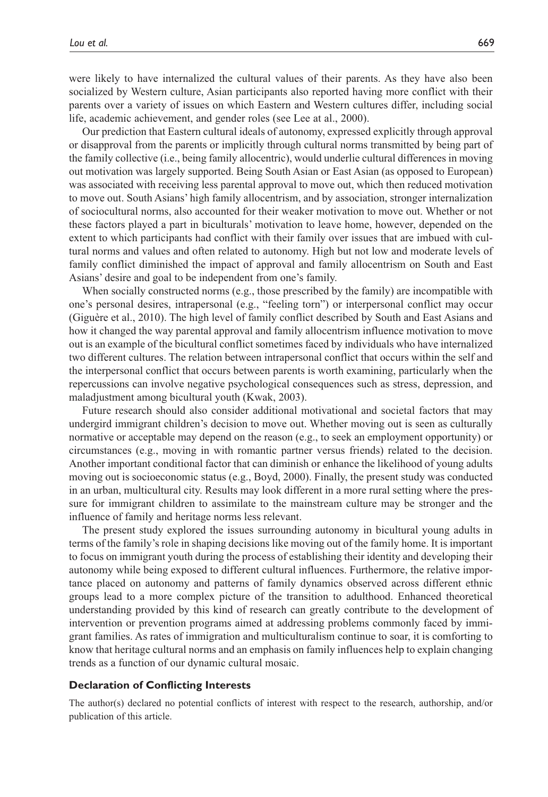were likely to have internalized the cultural values of their parents. As they have also been socialized by Western culture, Asian participants also reported having more conflict with their parents over a variety of issues on which Eastern and Western cultures differ, including social life, academic achievement, and gender roles (see Lee at al., 2000).

Our prediction that Eastern cultural ideals of autonomy, expressed explicitly through approval or disapproval from the parents or implicitly through cultural norms transmitted by being part of the family collective (i.e., being family allocentric), would underlie cultural differences in moving out motivation was largely supported. Being South Asian or East Asian (as opposed to European) was associated with receiving less parental approval to move out, which then reduced motivation to move out. South Asians' high family allocentrism, and by association, stronger internalization of sociocultural norms, also accounted for their weaker motivation to move out. Whether or not these factors played a part in biculturals' motivation to leave home, however, depended on the extent to which participants had conflict with their family over issues that are imbued with cultural norms and values and often related to autonomy. High but not low and moderate levels of family conflict diminished the impact of approval and family allocentrism on South and East Asians' desire and goal to be independent from one's family.

When socially constructed norms (e.g., those prescribed by the family) are incompatible with one's personal desires, intrapersonal (e.g., "feeling torn") or interpersonal conflict may occur (Giguère et al., 2010). The high level of family conflict described by South and East Asians and how it changed the way parental approval and family allocentrism influence motivation to move out is an example of the bicultural conflict sometimes faced by individuals who have internalized two different cultures. The relation between intrapersonal conflict that occurs within the self and the interpersonal conflict that occurs between parents is worth examining, particularly when the repercussions can involve negative psychological consequences such as stress, depression, and maladjustment among bicultural youth (Kwak, 2003).

Future research should also consider additional motivational and societal factors that may undergird immigrant children's decision to move out. Whether moving out is seen as culturally normative or acceptable may depend on the reason (e.g., to seek an employment opportunity) or circumstances (e.g., moving in with romantic partner versus friends) related to the decision. Another important conditional factor that can diminish or enhance the likelihood of young adults moving out is socioeconomic status (e.g., Boyd, 2000). Finally, the present study was conducted in an urban, multicultural city. Results may look different in a more rural setting where the pressure for immigrant children to assimilate to the mainstream culture may be stronger and the influence of family and heritage norms less relevant.

The present study explored the issues surrounding autonomy in bicultural young adults in terms of the family's role in shaping decisions like moving out of the family home. It is important to focus on immigrant youth during the process of establishing their identity and developing their autonomy while being exposed to different cultural influences. Furthermore, the relative importance placed on autonomy and patterns of family dynamics observed across different ethnic groups lead to a more complex picture of the transition to adulthood. Enhanced theoretical understanding provided by this kind of research can greatly contribute to the development of intervention or prevention programs aimed at addressing problems commonly faced by immigrant families. As rates of immigration and multiculturalism continue to soar, it is comforting to know that heritage cultural norms and an emphasis on family influences help to explain changing trends as a function of our dynamic cultural mosaic.

#### **Declaration of Conflicting Interests**

The author(s) declared no potential conflicts of interest with respect to the research, authorship, and/or publication of this article.